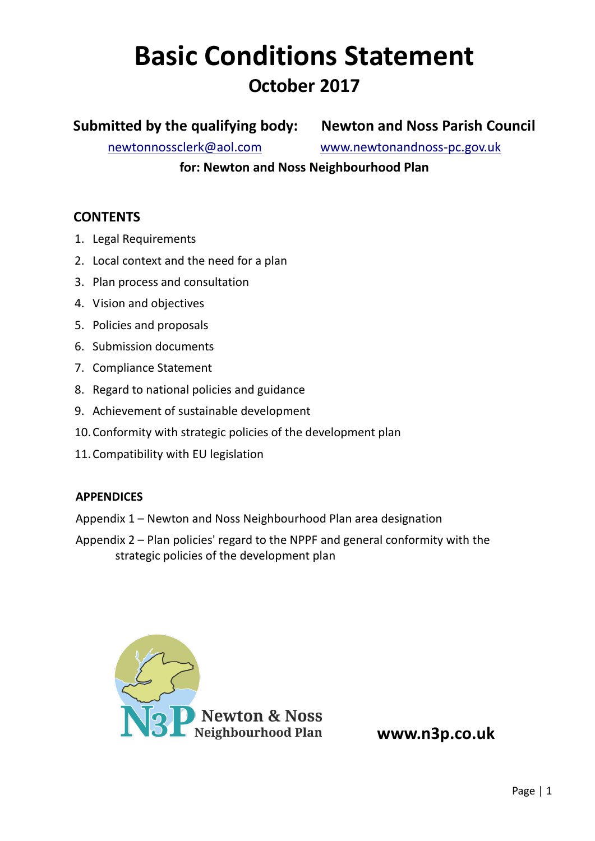# **Basic Conditions Statement October 2017**

# **Submitted by the qualifying body: Newton and Noss Parish Council**

[newtonnossclerk@aol.com](mailto:newtonnossclerk@aol.com) [www.newtonandnoss-pc.gov.uk](http://www.newtonandnoss-pc.gov.uk/)

**for: Newton and Noss Neighbourhood Plan**

## **CONTENTS**

- 1. Legal Requirements
- 2. Local context and the need for a plan
- 3. Plan process and consultation
- 4. Vision and objectives
- 5. Policies and proposals
- 6. Submission documents
- 7. Compliance Statement
- 8. Regard to national policies and guidance
- 9. Achievement of sustainable development
- 10.Conformity with strategic policies of the development plan
- 11.Compatibility with EU legislation

#### **APPENDICES**

- Appendix 1 Newton and Noss Neighbourhood Plan area designation
- Appendix 2 Plan policies' regard to the NPPF and general conformity with the strategic policies of the development plan

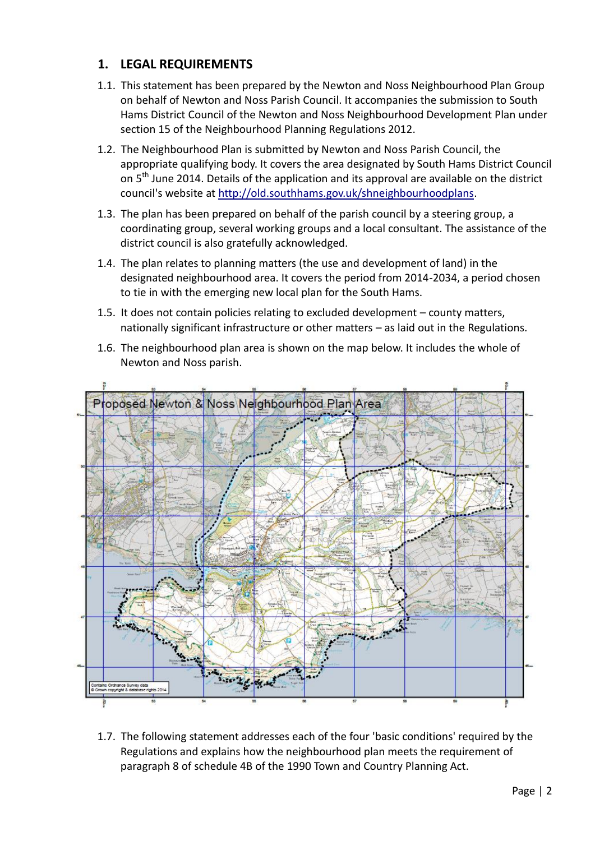## **1. LEGAL REQUIREMENTS**

- 1.1. This statement has been prepared by the Newton and Noss Neighbourhood Plan Group on behalf of Newton and Noss Parish Council. It accompanies the submission to South Hams District Council of the Newton and Noss Neighbourhood Development Plan under section 15 of the Neighbourhood Planning Regulations 2012.
- 1.2. The Neighbourhood Plan is submitted by Newton and Noss Parish Council, the appropriate qualifying body. It covers the area designated by South Hams District Council on 5<sup>th</sup> June 2014. Details of the application and its approval are available on the district council's website at [http://old.southhams.gov.uk/shneighbourhoodplans.](http://old.southhams.gov.uk/shneighbourhoodplans)
- 1.3. The plan has been prepared on behalf of the parish council by a steering group, a coordinating group, several working groups and a local consultant. The assistance of the district council is also gratefully acknowledged.
- 1.4. The plan relates to planning matters (the use and development of land) in the designated neighbourhood area. It covers the period from 2014-2034, a period chosen to tie in with the emerging new local plan for the South Hams.
- 1.5. It does not contain policies relating to excluded development county matters, nationally significant infrastructure or other matters – as laid out in the Regulations.
- 1.6. The neighbourhood plan area is shown on the map below. It includes the whole of Newton and Noss parish.



1.7. The following statement addresses each of the four 'basic conditions' required by the Regulations and explains how the neighbourhood plan meets the requirement of paragraph 8 of schedule 4B of the 1990 Town and Country Planning Act.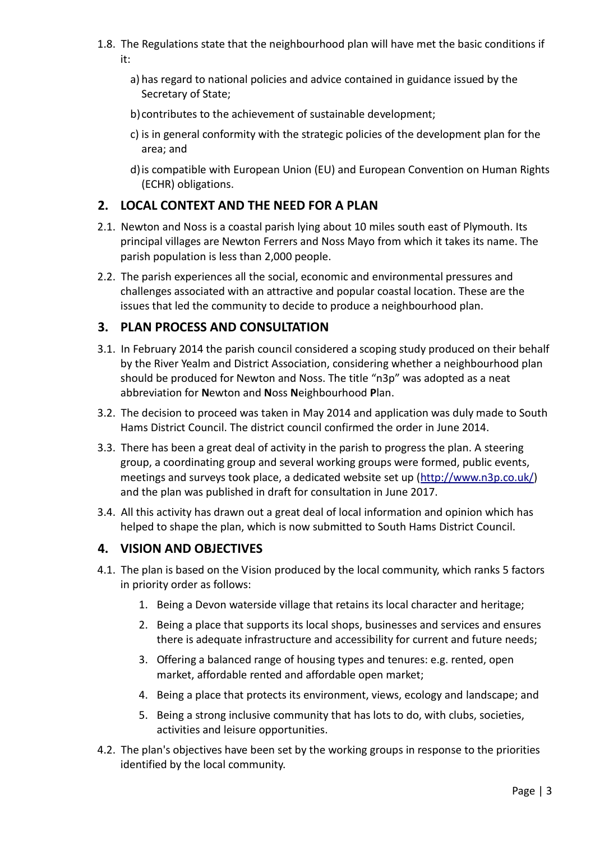- 1.8. The Regulations state that the neighbourhood plan will have met the basic conditions if it:
	- a) has regard to national policies and advice contained in guidance issued by the Secretary of State;
	- b)contributes to the achievement of sustainable development;
	- c) is in general conformity with the strategic policies of the development plan for the area; and
	- d)is compatible with European Union (EU) and European Convention on Human Rights (ECHR) obligations.

## **2. LOCAL CONTEXT AND THE NEED FOR A PLAN**

- 2.1. Newton and Noss is a coastal parish lying about 10 miles south east of Plymouth. Its principal villages are Newton Ferrers and Noss Mayo from which it takes its name. The parish population is less than 2,000 people.
- 2.2. The parish experiences all the social, economic and environmental pressures and challenges associated with an attractive and popular coastal location. These are the issues that led the community to decide to produce a neighbourhood plan.

## **3. PLAN PROCESS AND CONSULTATION**

- 3.1. In February 2014 the parish council considered a scoping study produced on their behalf by the River Yealm and District Association, considering whether a neighbourhood plan should be produced for Newton and Noss. The title "n3p" was adopted as a neat abbreviation for **N**ewton and **N**oss **N**eighbourhood **P**lan.
- 3.2. The decision to proceed was taken in May 2014 and application was duly made to South Hams District Council. The district council confirmed the order in June 2014.
- 3.3. There has been a great deal of activity in the parish to progress the plan. A steering group, a coordinating group and several working groups were formed, public events, meetings and surveys took place, a dedicated website set up [\(http://www.n3p.co.uk/\)](http://www.n3p.co.uk/) and the plan was published in draft for consultation in June 2017.
- 3.4. All this activity has drawn out a great deal of local information and opinion which has helped to shape the plan, which is now submitted to South Hams District Council.

#### **4. VISION AND OBJECTIVES**

- 4.1. The plan is based on the Vision produced by the local community, which ranks 5 factors in priority order as follows:
	- 1. Being a Devon waterside village that retains its local character and heritage;
	- 2. Being a place that supports its local shops, businesses and services and ensures there is adequate infrastructure and accessibility for current and future needs;
	- 3. Offering a balanced range of housing types and tenures: e.g. rented, open market, affordable rented and affordable open market;
	- 4. Being a place that protects its environment, views, ecology and landscape; and
	- 5. Being a strong inclusive community that has lots to do, with clubs, societies, activities and leisure opportunities.
- 4.2. The plan's objectives have been set by the working groups in response to the priorities identified by the local community.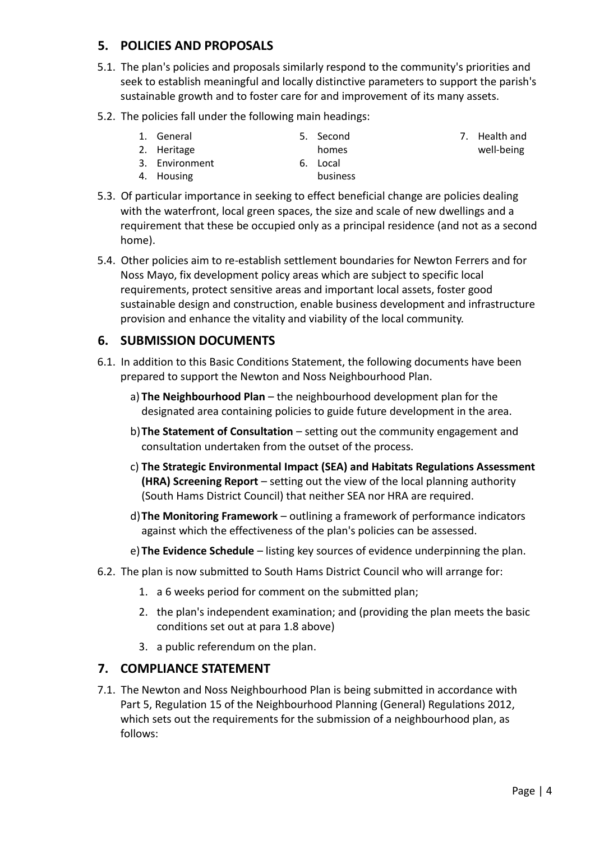## **5. POLICIES AND PROPOSALS**

4. Housing

- 5.1. The plan's policies and proposals similarly respond to the community's priorities and seek to establish meaningful and locally distinctive parameters to support the parish's sustainable growth and to foster care for and improvement of its many assets.
- 5.2. The policies fall under the following main headings:

| 1. General     | 5. Second |
|----------------|-----------|
| 2. Heritage    | homes     |
| 3. Environment | 6. Local  |

- 7. Health and well-being
- 5.3. Of particular importance in seeking to effect beneficial change are policies dealing with the waterfront, local green spaces, the size and scale of new dwellings and a requirement that these be occupied only as a principal residence (and not as a second home).

business

5.4. Other policies aim to re-establish settlement boundaries for Newton Ferrers and for Noss Mayo, fix development policy areas which are subject to specific local requirements, protect sensitive areas and important local assets, foster good sustainable design and construction, enable business development and infrastructure provision and enhance the vitality and viability of the local community.

#### **6. SUBMISSION DOCUMENTS**

- 6.1. In addition to this Basic Conditions Statement, the following documents have been prepared to support the Newton and Noss Neighbourhood Plan.
	- a) **The Neighbourhood Plan** the neighbourhood development plan for the designated area containing policies to guide future development in the area.
	- b)**The Statement of Consultation**  setting out the community engagement and consultation undertaken from the outset of the process.
	- c) **The Strategic Environmental Impact (SEA) and Habitats Regulations Assessment (HRA) Screening Report** – setting out the view of the local planning authority (South Hams District Council) that neither SEA nor HRA are required.
	- d)**The Monitoring Framework** outlining a framework of performance indicators against which the effectiveness of the plan's policies can be assessed.
	- e) **The Evidence Schedule** listing key sources of evidence underpinning the plan.
- 6.2. The plan is now submitted to South Hams District Council who will arrange for:
	- 1. a 6 weeks period for comment on the submitted plan;
	- 2. the plan's independent examination; and (providing the plan meets the basic conditions set out at para 1.8 above)
	- 3. a public referendum on the plan.

#### **7. COMPLIANCE STATEMENT**

7.1. The Newton and Noss Neighbourhood Plan is being submitted in accordance with Part 5, Regulation 15 of the Neighbourhood Planning (General) Regulations 2012, which sets out the requirements for the submission of a neighbourhood plan, as follows: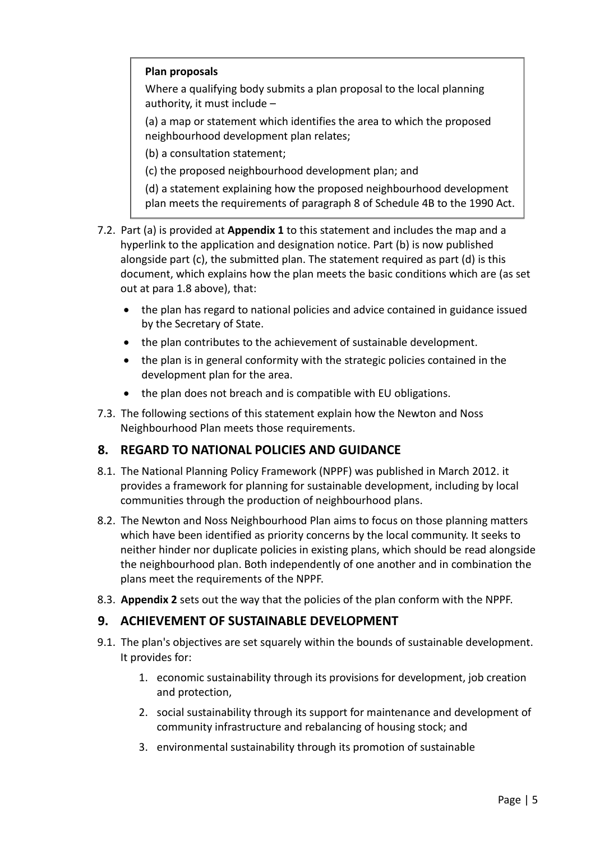#### **Plan proposals**

Where a qualifying body submits a plan proposal to the local planning authority, it must include –

(a) a map or statement which identifies the area to which the proposed neighbourhood development plan relates;

(b) a consultation statement;

(c) the proposed neighbourhood development plan; and

(d) a statement explaining how the proposed neighbourhood development plan meets the requirements of paragraph 8 of Schedule 4B to the 1990 Act.

- 7.2. Part (a) is provided at **Appendix 1** to this statement and includes the map and a hyperlink to the application and designation notice. Part (b) is now published alongside part (c), the submitted plan. The statement required as part (d) is this document, which explains how the plan meets the basic conditions which are (as set out at para 1.8 above), that:
	- the plan has regard to national policies and advice contained in guidance issued by the Secretary of State.
	- the plan contributes to the achievement of sustainable development.
	- the plan is in general conformity with the strategic policies contained in the development plan for the area.
	- the plan does not breach and is compatible with EU obligations.
- 7.3. The following sections of this statement explain how the Newton and Noss Neighbourhood Plan meets those requirements.

## **8. REGARD TO NATIONAL POLICIES AND GUIDANCE**

- 8.1. The National Planning Policy Framework (NPPF) was published in March 2012. it provides a framework for planning for sustainable development, including by local communities through the production of neighbourhood plans.
- 8.2. The Newton and Noss Neighbourhood Plan aims to focus on those planning matters which have been identified as priority concerns by the local community. It seeks to neither hinder nor duplicate policies in existing plans, which should be read alongside the neighbourhood plan. Both independently of one another and in combination the plans meet the requirements of the NPPF.
- 8.3. **Appendix 2** sets out the way that the policies of the plan conform with the NPPF.

#### **9. ACHIEVEMENT OF SUSTAINABLE DEVELOPMENT**

- 9.1. The plan's objectives are set squarely within the bounds of sustainable development. It provides for:
	- 1. economic sustainability through its provisions for development, job creation and protection,
	- 2. social sustainability through its support for maintenance and development of community infrastructure and rebalancing of housing stock; and
	- 3. environmental sustainability through its promotion of sustainable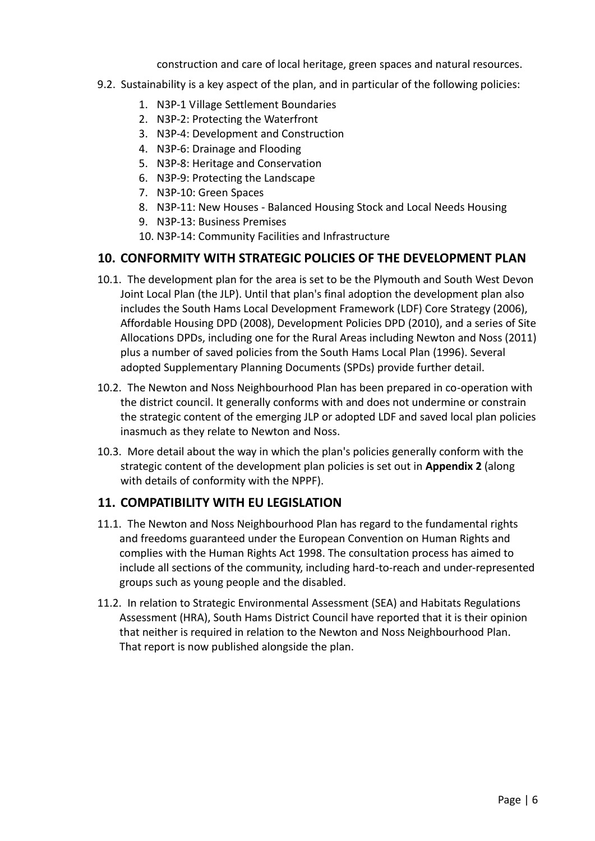construction and care of local heritage, green spaces and natural resources.

- 9.2. Sustainability is a key aspect of the plan, and in particular of the following policies:
	- 1. N3P-1 Village Settlement Boundaries
	- 2. N3P-2: Protecting the Waterfront
	- 3. N3P-4: Development and Construction
	- 4. N3P-6: Drainage and Flooding
	- 5. N3P-8: Heritage and Conservation
	- 6. N3P-9: Protecting the Landscape
	- 7. N3P-10: Green Spaces
	- 8. N3P-11: New Houses Balanced Housing Stock and Local Needs Housing
		- 9. N3P-13: Business Premises
		- 10. N3P-14: Community Facilities and Infrastructure

## **10. CONFORMITY WITH STRATEGIC POLICIES OF THE DEVELOPMENT PLAN**

- 10.1. The development plan for the area is set to be the Plymouth and South West Devon Joint Local Plan (the JLP). Until that plan's final adoption the development plan also includes the South Hams Local Development Framework (LDF) Core Strategy (2006), Affordable Housing DPD (2008), Development Policies DPD (2010), and a series of Site Allocations DPDs, including one for the Rural Areas including Newton and Noss (2011) plus a number of saved policies from the South Hams Local Plan (1996). Several adopted Supplementary Planning Documents (SPDs) provide further detail.
- 10.2. The Newton and Noss Neighbourhood Plan has been prepared in co-operation with the district council. It generally conforms with and does not undermine or constrain the strategic content of the emerging JLP or adopted LDF and saved local plan policies inasmuch as they relate to Newton and Noss.
- 10.3. More detail about the way in which the plan's policies generally conform with the strategic content of the development plan policies is set out in **Appendix 2** (along with details of conformity with the NPPF).

#### **11. COMPATIBILITY WITH EU LEGISLATION**

- 11.1. The Newton and Noss Neighbourhood Plan has regard to the fundamental rights and freedoms guaranteed under the European Convention on Human Rights and complies with the Human Rights Act 1998. The consultation process has aimed to include all sections of the community, including hard-to-reach and under-represented groups such as young people and the disabled.
- 11.2. In relation to Strategic Environmental Assessment (SEA) and Habitats Regulations Assessment (HRA), South Hams District Council have reported that it is their opinion that neither is required in relation to the Newton and Noss Neighbourhood Plan. That report is now published alongside the plan.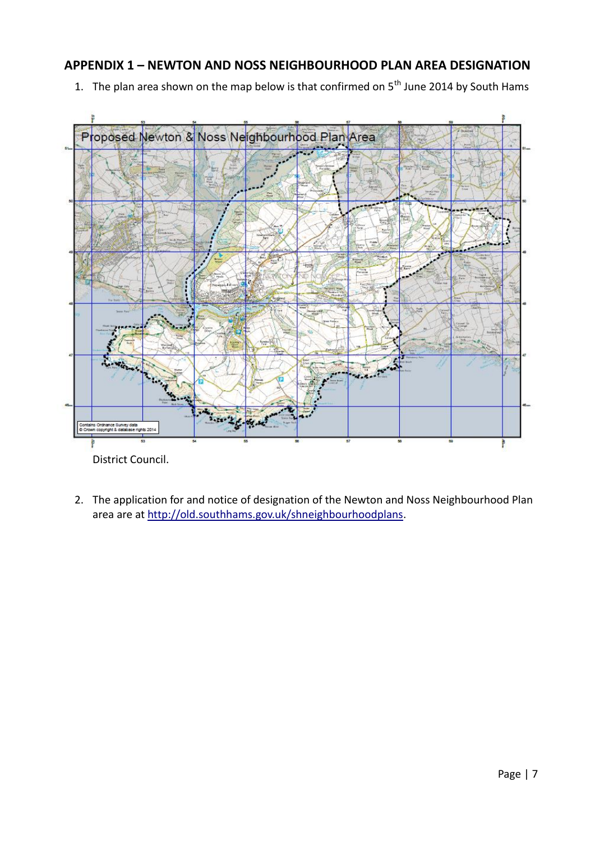## **APPENDIX 1 – NEWTON AND NOSS NEIGHBOURHOOD PLAN AREA DESIGNATION**

1. The plan area shown on the map below is that confirmed on  $5<sup>th</sup>$  June 2014 by South Hams



2. The application for and notice of designation of the Newton and Noss Neighbourhood Plan area are at [http://old.southhams.gov.uk/shneighbourhoodplans.](http://old.southhams.gov.uk/shneighbourhoodplans)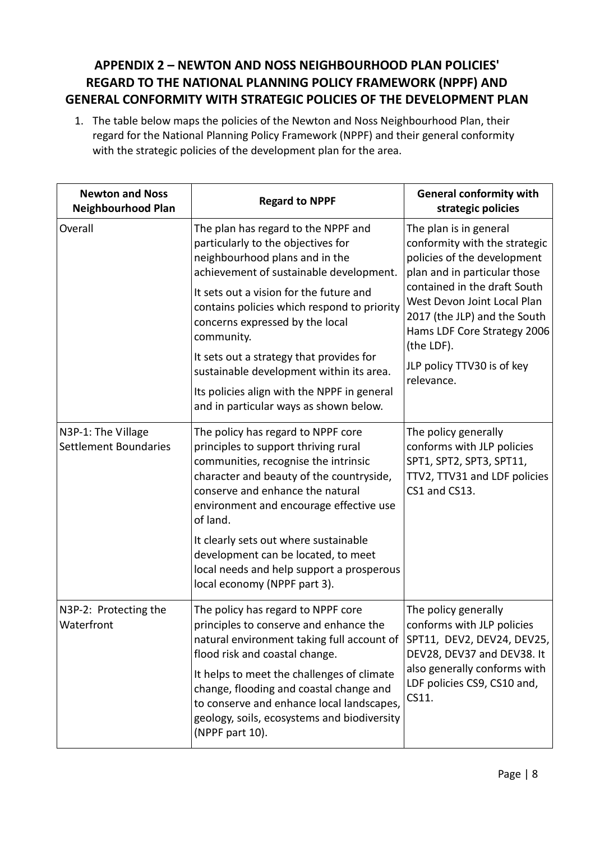# **APPENDIX 2 – NEWTON AND NOSS NEIGHBOURHOOD PLAN POLICIES' REGARD TO THE NATIONAL PLANNING POLICY FRAMEWORK (NPPF) AND GENERAL CONFORMITY WITH STRATEGIC POLICIES OF THE DEVELOPMENT PLAN**

1. The table below maps the policies of the Newton and Noss Neighbourhood Plan, their regard for the National Planning Policy Framework (NPPF) and their general conformity with the strategic policies of the development plan for the area.

| <b>Newton and Noss</b><br><b>Neighbourhood Plan</b> | <b>Regard to NPPF</b>                                                                                                                                                                                                                                                                                                                                                                                                                                                              | <b>General conformity with</b><br>strategic policies                                                                                                                                                                                                                                                           |
|-----------------------------------------------------|------------------------------------------------------------------------------------------------------------------------------------------------------------------------------------------------------------------------------------------------------------------------------------------------------------------------------------------------------------------------------------------------------------------------------------------------------------------------------------|----------------------------------------------------------------------------------------------------------------------------------------------------------------------------------------------------------------------------------------------------------------------------------------------------------------|
| Overall                                             | The plan has regard to the NPPF and<br>particularly to the objectives for<br>neighbourhood plans and in the<br>achievement of sustainable development.<br>It sets out a vision for the future and<br>contains policies which respond to priority<br>concerns expressed by the local<br>community.<br>It sets out a strategy that provides for<br>sustainable development within its area.<br>Its policies align with the NPPF in general<br>and in particular ways as shown below. | The plan is in general<br>conformity with the strategic<br>policies of the development<br>plan and in particular those<br>contained in the draft South<br>West Devon Joint Local Plan<br>2017 (the JLP) and the South<br>Hams LDF Core Strategy 2006<br>(the LDF).<br>JLP policy TTV30 is of key<br>relevance. |
| N3P-1: The Village<br><b>Settlement Boundaries</b>  | The policy has regard to NPPF core<br>principles to support thriving rural<br>communities, recognise the intrinsic<br>character and beauty of the countryside,<br>conserve and enhance the natural<br>environment and encourage effective use<br>of land.                                                                                                                                                                                                                          | The policy generally<br>conforms with JLP policies<br>SPT1, SPT2, SPT3, SPT11,<br>TTV2, TTV31 and LDF policies<br>CS1 and CS13.                                                                                                                                                                                |
|                                                     | It clearly sets out where sustainable<br>development can be located, to meet<br>local needs and help support a prosperous<br>local economy (NPPF part 3).                                                                                                                                                                                                                                                                                                                          |                                                                                                                                                                                                                                                                                                                |
| N3P-2: Protecting the<br>Waterfront                 | The policy has regard to NPPF core<br>principles to conserve and enhance the<br>natural environment taking full account of<br>flood risk and coastal change.<br>It helps to meet the challenges of climate<br>change, flooding and coastal change and<br>to conserve and enhance local landscapes,                                                                                                                                                                                 | The policy generally<br>conforms with JLP policies<br>SPT11, DEV2, DEV24, DEV25,<br>DEV28, DEV37 and DEV38. It<br>also generally conforms with<br>LDF policies CS9, CS10 and,<br>CS11.                                                                                                                         |
|                                                     | geology, soils, ecosystems and biodiversity<br>(NPPF part 10).                                                                                                                                                                                                                                                                                                                                                                                                                     |                                                                                                                                                                                                                                                                                                                |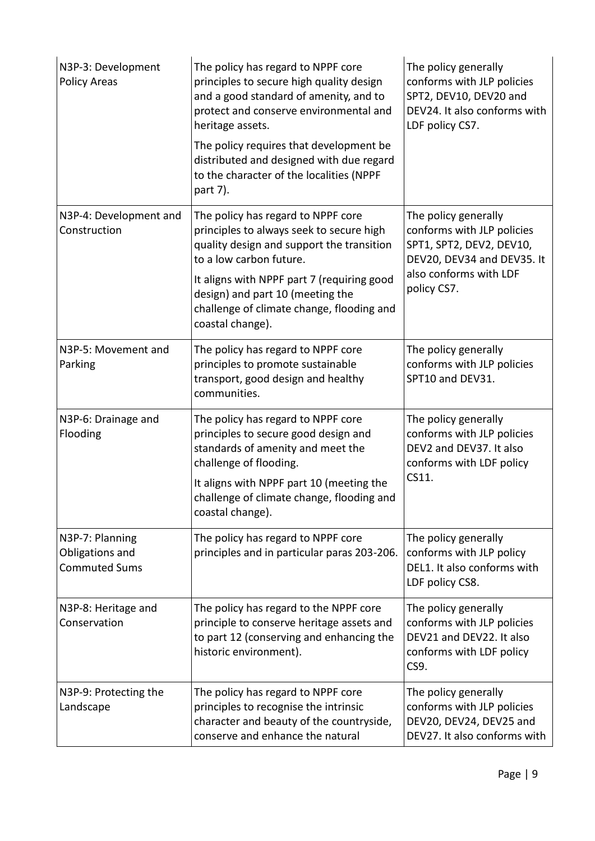| N3P-3: Development<br><b>Policy Areas</b>                  | The policy has regard to NPPF core<br>principles to secure high quality design<br>and a good standard of amenity, and to<br>protect and conserve environmental and<br>heritage assets.<br>The policy requires that development be<br>distributed and designed with due regard<br>to the character of the localities (NPPF<br>part 7). | The policy generally<br>conforms with JLP policies<br>SPT2, DEV10, DEV20 and<br>DEV24. It also conforms with<br>LDF policy CS7.                       |
|------------------------------------------------------------|---------------------------------------------------------------------------------------------------------------------------------------------------------------------------------------------------------------------------------------------------------------------------------------------------------------------------------------|-------------------------------------------------------------------------------------------------------------------------------------------------------|
| N3P-4: Development and<br>Construction                     | The policy has regard to NPPF core<br>principles to always seek to secure high<br>quality design and support the transition<br>to a low carbon future.<br>It aligns with NPPF part 7 (requiring good<br>design) and part 10 (meeting the<br>challenge of climate change, flooding and<br>coastal change).                             | The policy generally<br>conforms with JLP policies<br>SPT1, SPT2, DEV2, DEV10,<br>DEV20, DEV34 and DEV35. It<br>also conforms with LDF<br>policy CS7. |
| N3P-5: Movement and<br>Parking                             | The policy has regard to NPPF core<br>principles to promote sustainable<br>transport, good design and healthy<br>communities.                                                                                                                                                                                                         | The policy generally<br>conforms with JLP policies<br>SPT10 and DEV31.                                                                                |
| N3P-6: Drainage and<br>Flooding                            | The policy has regard to NPPF core<br>principles to secure good design and<br>standards of amenity and meet the<br>challenge of flooding.<br>It aligns with NPPF part 10 (meeting the<br>challenge of climate change, flooding and<br>coastal change).                                                                                | The policy generally<br>conforms with JLP policies<br>DEV2 and DEV37. It also<br>conforms with LDF policy<br>CS11.                                    |
| N3P-7: Planning<br>Obligations and<br><b>Commuted Sums</b> | The policy has regard to NPPF core<br>principles and in particular paras 203-206.                                                                                                                                                                                                                                                     | The policy generally<br>conforms with JLP policy<br>DEL1. It also conforms with<br>LDF policy CS8.                                                    |
| N3P-8: Heritage and<br>Conservation                        | The policy has regard to the NPPF core<br>principle to conserve heritage assets and<br>to part 12 (conserving and enhancing the<br>historic environment).                                                                                                                                                                             | The policy generally<br>conforms with JLP policies<br>DEV21 and DEV22. It also<br>conforms with LDF policy<br>CS9.                                    |
| N3P-9: Protecting the<br>Landscape                         | The policy has regard to NPPF core<br>principles to recognise the intrinsic<br>character and beauty of the countryside,<br>conserve and enhance the natural                                                                                                                                                                           | The policy generally<br>conforms with JLP policies<br>DEV20, DEV24, DEV25 and<br>DEV27. It also conforms with                                         |